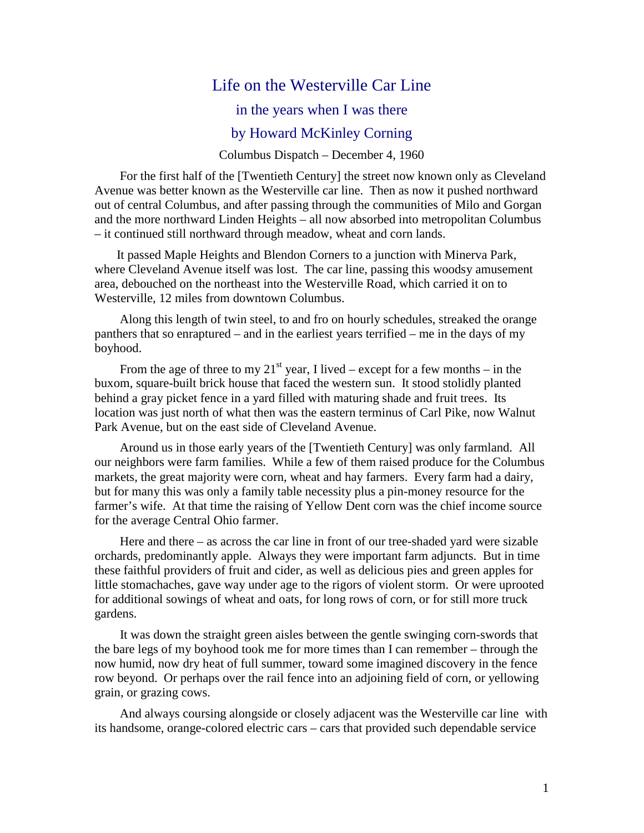## Life on the Westerville Car Line

## in the years when I was there

## by Howard McKinley Corning

## Columbus Dispatch – December 4, 1960

 For the first half of the [Twentieth Century] the street now known only as Cleveland Avenue was better known as the Westerville car line. Then as now it pushed northward out of central Columbus, and after passing through the communities of Milo and Gorgan and the more northward Linden Heights – all now absorbed into metropolitan Columbus – it continued still northward through meadow, wheat and corn lands.

 It passed Maple Heights and Blendon Corners to a junction with Minerva Park, where Cleveland Avenue itself was lost. The car line, passing this woodsy amusement area, debouched on the northeast into the Westerville Road, which carried it on to Westerville, 12 miles from downtown Columbus.

 Along this length of twin steel, to and fro on hourly schedules, streaked the orange panthers that so enraptured – and in the earliest years terrified – me in the days of my boyhood.

From the age of three to my  $21^{st}$  year, I lived – except for a few months – in the buxom, square-built brick house that faced the western sun. It stood stolidly planted behind a gray picket fence in a yard filled with maturing shade and fruit trees. Its location was just north of what then was the eastern terminus of Carl Pike, now Walnut Park Avenue, but on the east side of Cleveland Avenue.

 Around us in those early years of the [Twentieth Century] was only farmland. All our neighbors were farm families. While a few of them raised produce for the Columbus markets, the great majority were corn, wheat and hay farmers. Every farm had a dairy, but for many this was only a family table necessity plus a pin-money resource for the farmer's wife. At that time the raising of Yellow Dent corn was the chief income source for the average Central Ohio farmer.

 Here and there – as across the car line in front of our tree-shaded yard were sizable orchards, predominantly apple. Always they were important farm adjuncts. But in time these faithful providers of fruit and cider, as well as delicious pies and green apples for little stomachaches, gave way under age to the rigors of violent storm. Or were uprooted for additional sowings of wheat and oats, for long rows of corn, or for still more truck gardens.

 It was down the straight green aisles between the gentle swinging corn-swords that the bare legs of my boyhood took me for more times than I can remember – through the now humid, now dry heat of full summer, toward some imagined discovery in the fence row beyond. Or perhaps over the rail fence into an adjoining field of corn, or yellowing grain, or grazing cows.

 And always coursing alongside or closely adjacent was the Westerville car line with its handsome, orange-colored electric cars – cars that provided such dependable service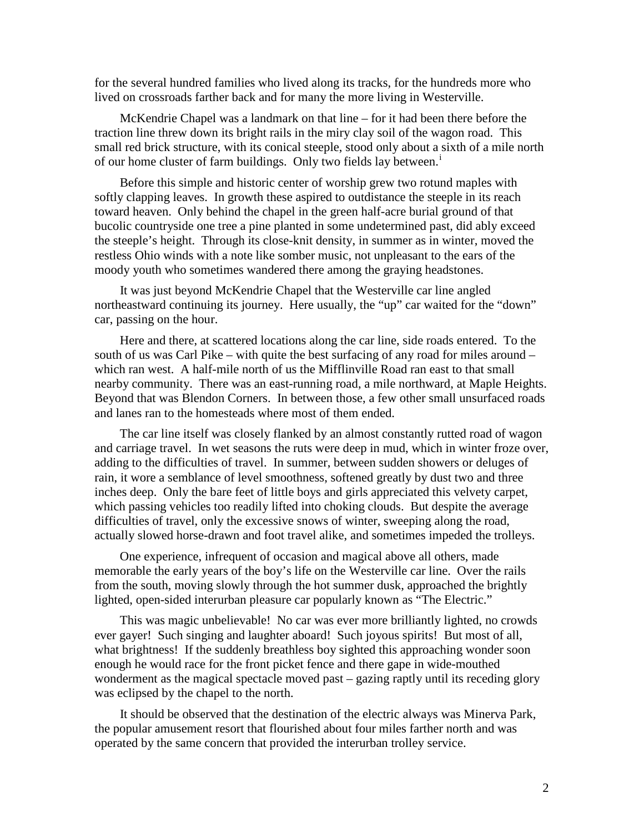for the several hundred families who lived along its tracks, for the hundreds more who lived on crossroads farther back and for many the more living in Westerville.

 McKendrie Chapel was a landmark on that line – for it had been there before the traction line threw down its bright rails in the miry clay soil of the wagon road. This small red brick structure, with its conical steeple, stood only about a sixth of a mile north of our home cluster of farm bu[i](#page-4-0)ldings. Only two fields lay between.<sup>i</sup>

 Before this simple and historic center of worship grew two rotund maples with softly clapping leaves. In growth these aspired to outdistance the steeple in its reach toward heaven. Only behind the chapel in the green half-acre burial ground of that bucolic countryside one tree a pine planted in some undetermined past, did ably exceed the steeple's height. Through its close-knit density, in summer as in winter, moved the restless Ohio winds with a note like somber music, not unpleasant to the ears of the moody youth who sometimes wandered there among the graying headstones.

 It was just beyond McKendrie Chapel that the Westerville car line angled northeastward continuing its journey. Here usually, the "up" car waited for the "down" car, passing on the hour.

 Here and there, at scattered locations along the car line, side roads entered. To the south of us was Carl Pike – with quite the best surfacing of any road for miles around – which ran west. A half-mile north of us the Mifflinville Road ran east to that small nearby community. There was an east-running road, a mile northward, at Maple Heights. Beyond that was Blendon Corners. In between those, a few other small unsurfaced roads and lanes ran to the homesteads where most of them ended.

 The car line itself was closely flanked by an almost constantly rutted road of wagon and carriage travel. In wet seasons the ruts were deep in mud, which in winter froze over, adding to the difficulties of travel. In summer, between sudden showers or deluges of rain, it wore a semblance of level smoothness, softened greatly by dust two and three inches deep. Only the bare feet of little boys and girls appreciated this velvety carpet, which passing vehicles too readily lifted into choking clouds. But despite the average difficulties of travel, only the excessive snows of winter, sweeping along the road, actually slowed horse-drawn and foot travel alike, and sometimes impeded the trolleys.

 One experience, infrequent of occasion and magical above all others, made memorable the early years of the boy's life on the Westerville car line. Over the rails from the south, moving slowly through the hot summer dusk, approached the brightly lighted, open-sided interurban pleasure car popularly known as "The Electric."

 This was magic unbelievable! No car was ever more brilliantly lighted, no crowds ever gayer! Such singing and laughter aboard! Such joyous spirits! But most of all, what brightness! If the suddenly breathless boy sighted this approaching wonder soon enough he would race for the front picket fence and there gape in wide-mouthed wonderment as the magical spectacle moved past – gazing raptly until its receding glory was eclipsed by the chapel to the north.

 It should be observed that the destination of the electric always was Minerva Park, the popular amusement resort that flourished about four miles farther north and was operated by the same concern that provided the interurban trolley service.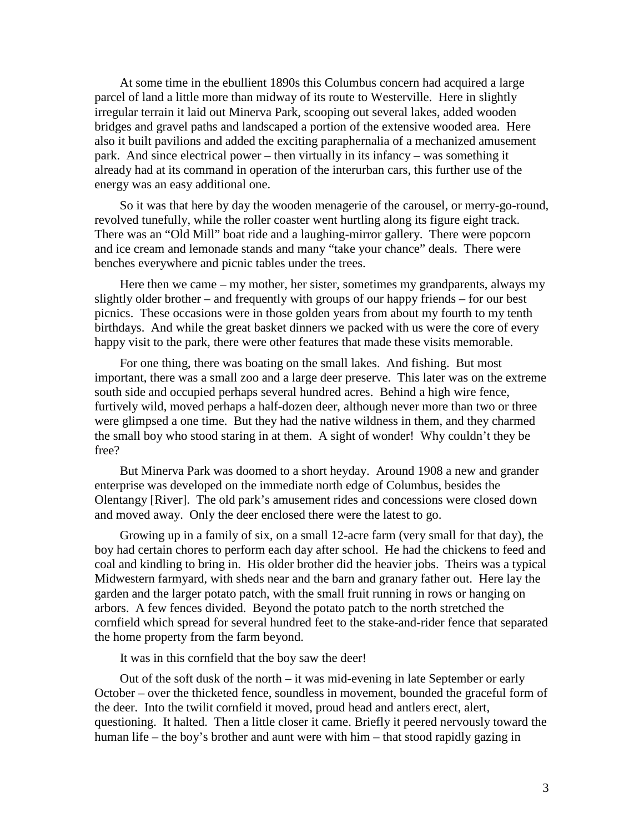At some time in the ebullient 1890s this Columbus concern had acquired a large parcel of land a little more than midway of its route to Westerville. Here in slightly irregular terrain it laid out Minerva Park, scooping out several lakes, added wooden bridges and gravel paths and landscaped a portion of the extensive wooded area. Here also it built pavilions and added the exciting paraphernalia of a mechanized amusement park. And since electrical power – then virtually in its infancy – was something it already had at its command in operation of the interurban cars, this further use of the energy was an easy additional one.

 So it was that here by day the wooden menagerie of the carousel, or merry-go-round, revolved tunefully, while the roller coaster went hurtling along its figure eight track. There was an "Old Mill" boat ride and a laughing-mirror gallery. There were popcorn and ice cream and lemonade stands and many "take your chance" deals. There were benches everywhere and picnic tables under the trees.

 Here then we came – my mother, her sister, sometimes my grandparents, always my slightly older brother – and frequently with groups of our happy friends – for our best picnics. These occasions were in those golden years from about my fourth to my tenth birthdays. And while the great basket dinners we packed with us were the core of every happy visit to the park, there were other features that made these visits memorable.

 For one thing, there was boating on the small lakes. And fishing. But most important, there was a small zoo and a large deer preserve. This later was on the extreme south side and occupied perhaps several hundred acres. Behind a high wire fence, furtively wild, moved perhaps a half-dozen deer, although never more than two or three were glimpsed a one time. But they had the native wildness in them, and they charmed the small boy who stood staring in at them. A sight of wonder! Why couldn't they be free?

 But Minerva Park was doomed to a short heyday. Around 1908 a new and grander enterprise was developed on the immediate north edge of Columbus, besides the Olentangy [River]. The old park's amusement rides and concessions were closed down and moved away. Only the deer enclosed there were the latest to go.

 Growing up in a family of six, on a small 12-acre farm (very small for that day), the boy had certain chores to perform each day after school. He had the chickens to feed and coal and kindling to bring in. His older brother did the heavier jobs. Theirs was a typical Midwestern farmyard, with sheds near and the barn and granary father out. Here lay the garden and the larger potato patch, with the small fruit running in rows or hanging on arbors. A few fences divided. Beyond the potato patch to the north stretched the cornfield which spread for several hundred feet to the stake-and-rider fence that separated the home property from the farm beyond.

It was in this cornfield that the boy saw the deer!

 Out of the soft dusk of the north – it was mid-evening in late September or early October – over the thicketed fence, soundless in movement, bounded the graceful form of the deer. Into the twilit cornfield it moved, proud head and antlers erect, alert, questioning. It halted. Then a little closer it came. Briefly it peered nervously toward the human life – the boy's brother and aunt were with him – that stood rapidly gazing in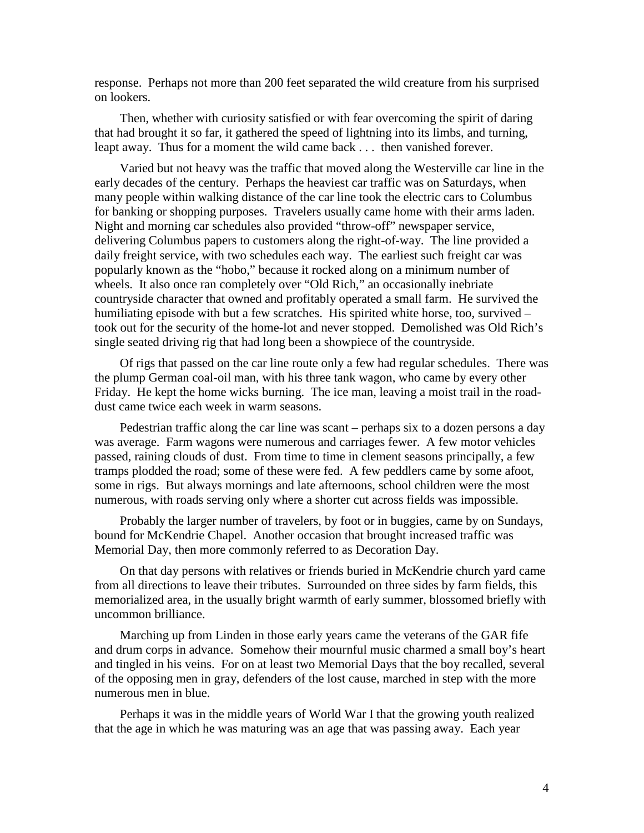response. Perhaps not more than 200 feet separated the wild creature from his surprised on lookers.

 Then, whether with curiosity satisfied or with fear overcoming the spirit of daring that had brought it so far, it gathered the speed of lightning into its limbs, and turning, leapt away. Thus for a moment the wild came back . . . then vanished forever.

 Varied but not heavy was the traffic that moved along the Westerville car line in the early decades of the century. Perhaps the heaviest car traffic was on Saturdays, when many people within walking distance of the car line took the electric cars to Columbus for banking or shopping purposes. Travelers usually came home with their arms laden. Night and morning car schedules also provided "throw-off" newspaper service, delivering Columbus papers to customers along the right-of-way. The line provided a daily freight service, with two schedules each way. The earliest such freight car was popularly known as the "hobo," because it rocked along on a minimum number of wheels. It also once ran completely over "Old Rich," an occasionally inebriate countryside character that owned and profitably operated a small farm. He survived the humiliating episode with but a few scratches. His spirited white horse, too, survived – took out for the security of the home-lot and never stopped. Demolished was Old Rich's single seated driving rig that had long been a showpiece of the countryside.

 Of rigs that passed on the car line route only a few had regular schedules. There was the plump German coal-oil man, with his three tank wagon, who came by every other Friday. He kept the home wicks burning. The ice man, leaving a moist trail in the roaddust came twice each week in warm seasons.

 Pedestrian traffic along the car line was scant – perhaps six to a dozen persons a day was average. Farm wagons were numerous and carriages fewer. A few motor vehicles passed, raining clouds of dust. From time to time in clement seasons principally, a few tramps plodded the road; some of these were fed. A few peddlers came by some afoot, some in rigs. But always mornings and late afternoons, school children were the most numerous, with roads serving only where a shorter cut across fields was impossible.

 Probably the larger number of travelers, by foot or in buggies, came by on Sundays, bound for McKendrie Chapel. Another occasion that brought increased traffic was Memorial Day, then more commonly referred to as Decoration Day.

 On that day persons with relatives or friends buried in McKendrie church yard came from all directions to leave their tributes. Surrounded on three sides by farm fields, this memorialized area, in the usually bright warmth of early summer, blossomed briefly with uncommon brilliance.

 Marching up from Linden in those early years came the veterans of the GAR fife and drum corps in advance. Somehow their mournful music charmed a small boy's heart and tingled in his veins. For on at least two Memorial Days that the boy recalled, several of the opposing men in gray, defenders of the lost cause, marched in step with the more numerous men in blue.

 Perhaps it was in the middle years of World War I that the growing youth realized that the age in which he was maturing was an age that was passing away. Each year